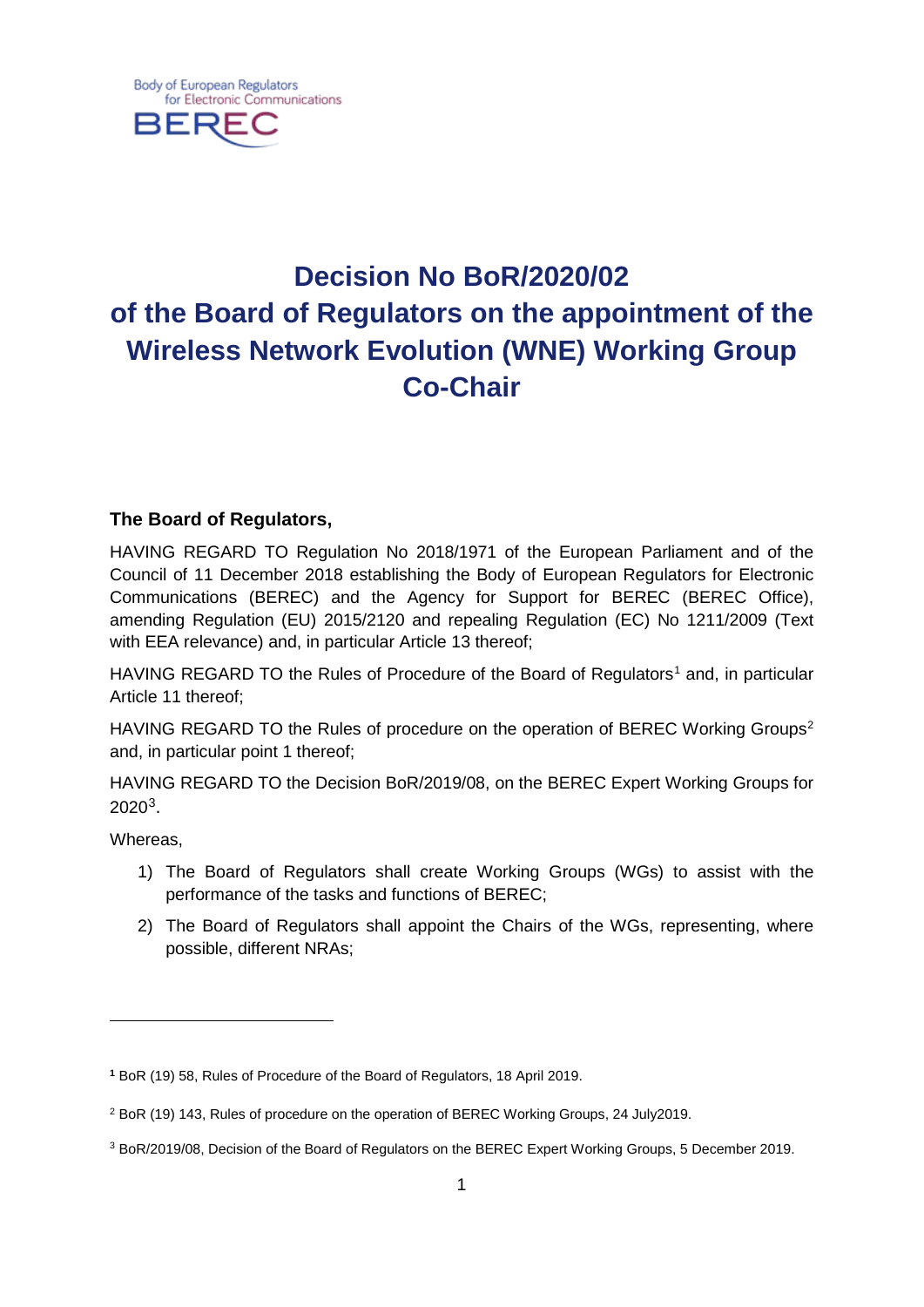

# **Decision No BoR/2020/02 of the Board of Regulators on the appointment of the Wireless Network Evolution (WNE) Working Group Co-Chair**

# **The Board of Regulators,**

HAVING REGARD TO Regulation No 2018/1971 of the European Parliament and of the Council of 11 December 2018 establishing the Body of European Regulators for Electronic Communications (BEREC) and the Agency for Support for BEREC (BEREC Office), amending Regulation (EU) 2015/2120 and repealing Regulation (EC) No 1211/2009 (Text with EEA relevance) and, in particular Article 13 thereof;

HAVING REGARD TO the Rules of Procedure of the Board of Regulators<sup>[1](#page-0-0)</sup> and, in particular Article 11 thereof;

HAVING REGARD TO the Rules of procedure on the operation of BEREC Working Groups<sup>[2](#page-0-1)</sup> and, in particular point 1 thereof;

HAVING REGARD TO the Decision BoR/2019/08, on the BEREC Expert Working Groups for 2020[3](#page-0-2).

Whereas,

 $\overline{a}$ 

- 1) The Board of Regulators shall create Working Groups (WGs) to assist with the performance of the tasks and functions of BEREC;
- 2) The Board of Regulators shall appoint the Chairs of the WGs, representing, where possible, different NRAs;

<span id="page-0-0"></span>**<sup>1</sup>** BoR (19) 58, Rules of Procedure of the Board of Regulators, 18 April 2019.

<span id="page-0-1"></span><sup>2</sup> BoR (19) 143, Rules of procedure on the operation of BEREC Working Groups, 24 July2019.

<span id="page-0-2"></span><sup>3</sup> BoR/2019/08, Decision of the Board of Regulators on the BEREC Expert Working Groups, 5 December 2019.